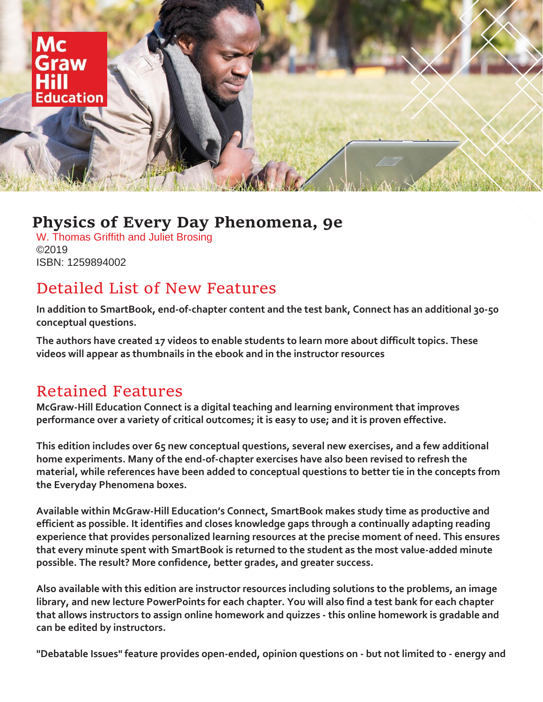

## **Physics of Every Day Phenomena, 9e**

W. Thomas Griffith and Juliet Brosing ©2019 ISBN: 1259894002

## Detailed List of New Features

**In addition to SmartBook, end-of-chapter content and the test bank, Connect has an additional 30-50 conceptual questions.** 

**The authors have created 17 videos to enable students to learn more about difficult topics. These videos will appear as thumbnails in the ebook and in the instructor resources**

## Retained Features

**McGraw-Hill Education Connect is a digital teaching and learning environment that improves performance over a variety of critical outcomes; it is easy to use; and it is proven effective.** 

**This edition includes over 65 new conceptual questions, several new exercises, and a few additional home experiments. Many of the end-of-chapter exercises have also been revised to refresh the material, while references have been added to conceptual questions to better tie in the concepts from the Everyday Phenomena boxes.** 

**Available within McGraw-Hill Education's Connect, SmartBook makes study time as productive and efficient as possible. It identifies and closes knowledge gaps through a continually adapting reading experience that provides personalized learning resources at the precise moment of need. This ensures that every minute spent with SmartBook is returned to the student as the most value-added minute possible. The result? More confidence, better grades, and greater success.** 

**Also available with this edition are instructor resources including solutions to the problems, an image library, and new lecture PowerPoints for each chapter. You will also find a test bank for each chapter that allows instructors to assign online homework and quizzes - this online homework is gradable and can be edited by instructors.** 

**"Debatable Issues" feature provides open-ended, opinion questions on - but not limited to - energy and**